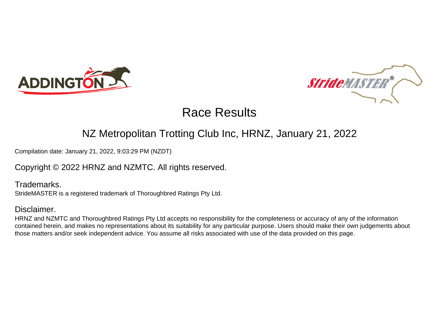



#### NZ Metropolitan Trotting Club Inc, HRNZ, January 21, 2022

Compilation date: January 21, 2022, 9:03:29 PM (NZDT)

#### Copyright © 2022 HRNZ and NZMTC. All rights reserved.

Trademarks. StrideMASTER is a registered trademark of Thoroughbred Ratings Pty Ltd.

#### Disclaimer.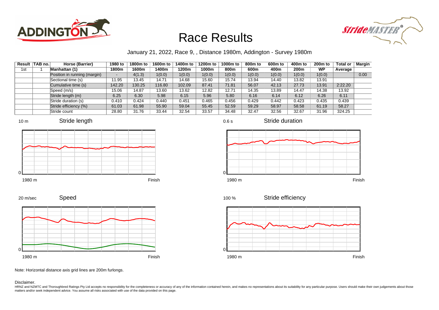



January 21, 2022, Race 9, , Distance 1980m, Addington - Survey 1980m

|     | Result   TAB no. | Horse (Barrier)              | 1980 to | 1800m to | 1600m to | 1400m to | 1200m to | 1000m to | 800 <sub>m</sub> to | 600m to | 400m to          | 200 <sub>m</sub> to | <b>Total or</b> | Margin |
|-----|------------------|------------------------------|---------|----------|----------|----------|----------|----------|---------------------|---------|------------------|---------------------|-----------------|--------|
| 1st |                  | Manhattan (1)                | 1800m   | 1600m    | 1400m    | 1200m    | 1000m    | 800m     | 600m                | 400m    | 200 <sub>m</sub> | WP                  | Average         |        |
|     |                  | Position in running (margin) |         | 4(1.3)   | 1(0.0)   | 1(0.0)   | 1(0.0)   | 1(0.0)   | 1(0.0)              | 1(0.0)  | 1(0.0)           | 1(0.0)              |                 | 0.00   |
|     |                  | Sectional time (s)           | 11.95   | 13.45    | 14.71    | 14.68    | 15.60    | 15.74    | 13.94               | 14.40   | 13.82            | 13.91               |                 |        |
|     |                  | Cumulative time (s)          | 142.20  | 130.25   | 116.80   | 102.09   | 87.41    | 71.81    | 56.07               | 42.13   | 27.73            | 13.91               | 2:22.20         |        |
|     |                  | Speed (m/s)                  | 15.06   | 14.87    | 13.60    | 13.62    | 12.82    | 12.71    | 14.35               | 13.89   | 14.47            | 14.38               | 13.92           |        |
|     |                  | Stride length (m)            | 6.25    | 6.30     | 5.98     | 6.15     | 5.96     | 5.80     | 6.16                | 6.14    | 6.12             | 6.26                | 6.11            |        |
|     |                  | Stride duration (s)          | 0.410   | 0.424    | 0.440    | 0.451    | 0.465    | 0.456    | 0.429               | 0.442   | 0.423            | 0.435               | 0.439           |        |
|     |                  | Stride efficiency (%)        | 61.03   | 61.98    | 55.90    | 59.04    | 55.45    | 52.59    | 59.29               | 58.97   | 58.58            | 61.19               | 58.27           |        |
|     |                  | Stride count                 | 28.80   | 31.76    | 33.44    | 32.54    | 33.57    | 34.48    | 32.47               | 32.56   | 32.67            | 31.96               | 324.25          |        |













Stride duration



Stride efficiency 100 %



Note: Horizontal distance axis grid lines are 200m furlongs.

#### Disclaimer.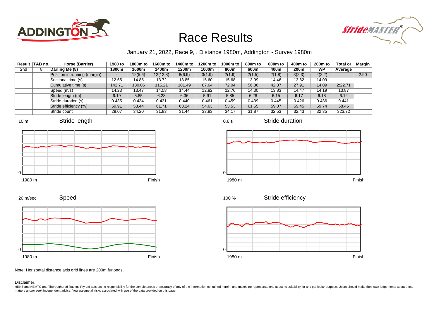



January 21, 2022, Race 9, , Distance 1980m, Addington - Survey 1980m

|                 | Result TAB no. | Horse (Barrier)              | 1980 to | 1800m to | 1600m to | 1400m to | 1200m to | 1000m to | 800 <sub>m</sub> to | 600m to | 400m to          | 200 <sub>m</sub> to | <b>Total or</b> | Margin |
|-----------------|----------------|------------------------------|---------|----------|----------|----------|----------|----------|---------------------|---------|------------------|---------------------|-----------------|--------|
| 2 <sub>nd</sub> | 8              | Darling Me (8)               | 1800m   | 1600m    | 1400m    | 1200m    | 1000m    | 800m     | 600m                | 400m    | 200 <sub>m</sub> | WP                  | Average         |        |
|                 |                | Position in running (margin) |         | 12(5.6)  | 12(12.8) | 8(6.9)   | 3(1.9)   | 2(1.9)   | 2(1.5)              | 2(1.8)  | 3(2.3)           | 2(2.2)              |                 | 2.90   |
|                 |                | Sectional time (s)           | 12.65   | 14.85    | 13.72    | 13.85    | 15.60    | 15.68    | 13.99               | 14.46   | 13.82            | 14.09               |                 |        |
|                 |                | Cumulative time (s)          | 142.71  | 130.06   | 115.21   | 101.49   | 87.64    | 72.04    | 56.36               | 42.37   | 27.91            | 14.09               | 2:22.71         |        |
|                 |                | Speed (m/s)                  | 14.23   | 13.47    | 14.58    | 14.44    | 12.82    | 12.76    | 14.30               | 13.83   | 14.47            | 14.19               | 13.87           |        |
|                 |                | Stride length (m)            | 6.19    | 5.85     | 6.28     | 6.36     | 5.91     | 5.85     | 6.28                | 6.15    | 6.17             | 6.18                | 6.12            |        |
|                 |                | Stride duration (s)          | 0.435   | 0.434    | 0.431    | 0.440    | 0.461    | 0.459    | 0.439               | 0.445   | 0.426            | 0.436               | 0.441           |        |
|                 |                | Stride efficiency (%)        | 59.91   | 53.44    | 61.71    | 63.24    | 54.63    | 53.53    | 61.55               | 59.07   | 59.45            | 59.74               | 58.46           |        |
|                 |                | Stride count                 | 29.07   | 34.20    | 31.83    | 31.44    | 33.83    | 34.17    | 31.87               | 32.53   | 32.43            | 32.35               | 323.72          |        |











Stride duration



Stride efficiency 100 %



Note: Horizontal distance axis grid lines are 200m furlongs.

#### Disclaimer.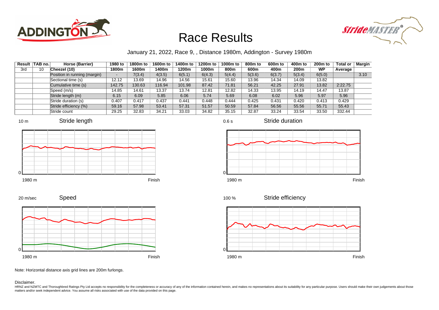



January 21, 2022, Race 9, , Distance 1980m, Addington - Survey 1980m

| Result | TAB no. | Horse (Barrier)              | 1980 to | 1800m to | 1600m to | 1400m to | 1200m to | 1000m to | 800 <sub>m</sub> to | 600m to | 400m to          | 200 <sub>m</sub> to | <b>Total or</b> | Margin |
|--------|---------|------------------------------|---------|----------|----------|----------|----------|----------|---------------------|---------|------------------|---------------------|-----------------|--------|
| 3rd    | 10      | Cheezel (10)                 | 1800m   | 1600m    | 1400m    | 1200m    | 1000m    | 800m     | 600m                | 400m    | 200 <sub>m</sub> | WP                  | Average         |        |
|        |         | Position in running (margin) |         | 7(3.4)   | 4(3.5)   | 6(5.1)   | 6(4.3)   | 5(4.4)   | 5(3.6)              | 6(3.7)  | 5(3.4)           | 6(5.0)              |                 | 3.10   |
|        |         | Sectional time (s)           | 12.12   | 13.69    | 14.96    | 14.56    | 15.61    | 15.60    | 13.96               | 14.34   | 14.09            | 13.82               |                 |        |
|        |         | Cumulative time (s)          | 142.75  | 130.63   | 116.94   | 101.98   | 87.42    | 71.81    | 56.21               | 42.25   | 27.91            | 13.82               | 2:22.75         |        |
|        |         | Speed (m/s)                  | 14.85   | 14.61    | 13.37    | 13.74    | 12.81    | 12.82    | 14.33               | 13.95   | 14.19            | 14.47               | 13.87           |        |
|        |         | Stride length (m)            | 6.15    | 6.09     | 5.85     | 6.06     | 5.74     | 5.69     | 6.08                | 6.02    | 5.96             | 5.97                | 5.96            |        |
|        |         | Stride duration (s)          | 0.407   | 0.417    | 0.437    | 0.441    | 0.448    | 0.444    | 0.425               | 0.431   | 0.420            | 0.413               | 0.429           |        |
|        |         | Stride efficiency (%)        | 59.16   | 57.98    | 53.41    | 57.31    | 51.57    | 50.59    | 57.84               | 56.56   | 55.56            | 55.71               | 55.43           |        |
|        |         | Stride count                 | 29.25   | 32.83    | 34.21    | 33.03    | 34.82    | 35.15    | 32.87               | 33.24   | 33.54            | 33.50               | 332.44          |        |







0.6 s

Stride duration



Stride efficiency 100 %



Speed 20 m/sec



Note: Horizontal distance axis grid lines are 200m furlongs.

#### Disclaimer.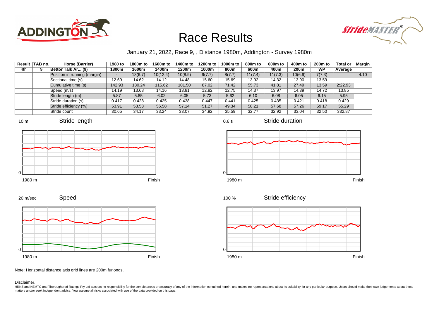



January 21, 2022, Race 9, , Distance 1980m, Addington - Survey 1980m

0.6 s

| Result | <b>TAB no.</b> | Horse (Barrier)              | 1980 to                  | 1800m to | 1600m to | 1400m to | 1200m to | 1000m to | 800 <sub>m</sub> to | 600m to | 400m to          | 200 <sub>m</sub> to | <b>Total or</b> | Margin |
|--------|----------------|------------------------------|--------------------------|----------|----------|----------|----------|----------|---------------------|---------|------------------|---------------------|-----------------|--------|
| 4th    | 9              | Bettor Talk Ar (9)           | 1800m                    | 1600m    | 1400m    | 1200m    | 1000m    | 800m     | 600m                | 400m    | 200 <sub>m</sub> | WP                  | Average         |        |
|        |                | Position in running (margin) | $\overline{\phantom{a}}$ | 13(6.7)  | 10(12.4) | 10(8.9)  | 9(7.7)   | 8(7.7)   | 11(7.4)             | 11(7.3) | 10(6.9)          | 7(7.3)              |                 | 4.10   |
|        |                | Sectional time (s)           | 12.69                    | 14.62    | 14.12    | 14.48    | 15.60    | 15.69    | 13.92               | 14.32   | 13.90            | 13.59               |                 |        |
|        |                | Cumulative time (s)          | 142.93                   | 130.24   | 115.62   | 101.50   | 87.02    | 71.42    | 55.73               | 41.81   | 27.49            | 13.59               | 2:22.93         |        |
|        |                | Speed (m/s)                  | 14.19                    | 13.68    | 14.16    | 13.81    | 12.82    | 12.75    | 14.37               | 13.97   | 14.39            | 14.72               | 13.85           |        |
|        |                | Stride length (m)            | 5.87                     | 5.85     | 6.02     | 6.05     | 5.73     | 5.62     | 6.10                | 6.08    | 6.05             | 6.15                | 5.95            |        |
|        |                | Stride duration (s)          | 0.417                    | 0.428    | 0.425    | 0.438    | 0.447    | 0.441    | 0.425               | 0.435   | 0.421            | 0.418               | 0.429           |        |
|        |                | Stride efficiency (%)        | 53.91                    | 53.53    | 56.58    | 57.14    | 51.27    | 49.34    | 58.21               | 57.68   | 57.26            | 59.17               | 55.29           |        |
|        |                | Stride count                 | 30.65                    | 34.17    | 33.24    | 33.07    | 34.92    | 35.59    | 32.77               | 32.92   | 33.04            | 32.50               | 332.87          |        |











Stride duration



Stride efficiency 100 %



Note: Horizontal distance axis grid lines are 200m furlongs.

Disclaimer.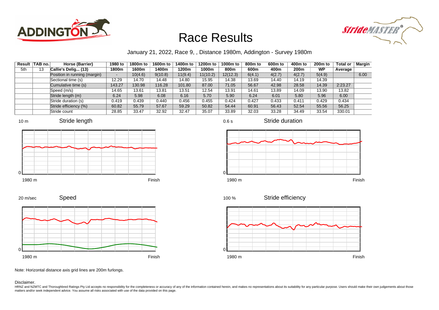



January 21, 2022, Race 9, , Distance 1980m, Addington - Survey 1980m

| Result | TAB no. | Horse (Barrier)              | 1980 to | 1800m to | 1600m to | 1400m to | 1200m to | 1000m to | 800 <sub>m</sub> to | 600m to | 400m to          | 200 <sub>m</sub> to | <b>Total or</b> | Margin |
|--------|---------|------------------------------|---------|----------|----------|----------|----------|----------|---------------------|---------|------------------|---------------------|-----------------|--------|
| 5th    | 13      | Callie's Delig (13)          | 1800m   | 1600m    | 1400m    | 1200m    | 1000m    | 800m     | 600m                | 400m    | 200 <sub>m</sub> | WP                  | Average         |        |
|        |         | Position in running (margin) |         | 10(4.6)  | 9(10.8)  | 11(9.4)  | 11(10.2) | 12(12.3) | 6(4.1)              | 4(2.7)  | 4(2.7)           | 5(4.9)              |                 | 6.00   |
|        |         | Sectional time (s)           | 12.29   | 14.70    | 14.48    | 14.80    | 15.95    | 14.38    | 13.69               | 14.40   | 14.19            | 14.39               |                 |        |
|        |         | Cumulative time (s)          | 143.27  | 130.98   | 116.28   | 101.80   | 87.00    | 71.05    | 56.67               | 42.98   | 28.58            | 14.39               | 2:23.27         |        |
|        |         | Speed (m/s)                  | 14.65   | 13.61    | 13.81    | 13.51    | 12.54    | 13.91    | 14.61               | 13.89   | 14.09            | 13.90               | 13.82           |        |
|        |         | Stride length (m)            | 6.24    | 5.98     | 6.08     | 6.16     | 5.70     | 5.90     | 6.24                | 6.01    | 5.80             | 5.96                | 6.00            |        |
|        |         | Stride duration (s)          | 0.419   | 0.439    | 0.440    | 0.456    | 0.455    | 0.424    | 0.427               | 0.433   | 0.411            | 0.429               | 0.434           |        |
|        |         | Stride efficiency (%)        | 60.82   | 55.79    | 57.67    | 59.29    | 50.82    | 54.44    | 60.91               | 56.43   | 52.54            | 55.56               | 56.25           |        |
|        |         | Stride count                 | 28.85   | 33.47    | 32.92    | 32.47    | 35.07    | 33.89    | 32.03               | 33.28   | 34.49            | 33.54               | 330.01          |        |









Stride duration



Speed 20 m/sec



Note: Horizontal distance axis grid lines are 200m furlongs.

Disclaimer.

HRNZ and NZMTC and Thoroughbred Ratings Pty Ltd accepts no responsibility for the completeness or accuracy of any of the information contained herein, and makes no representations about its suitability for any particular p matters and/or seek independent advice. You assume all risks associated with use of the data provided on this page.

0.6 s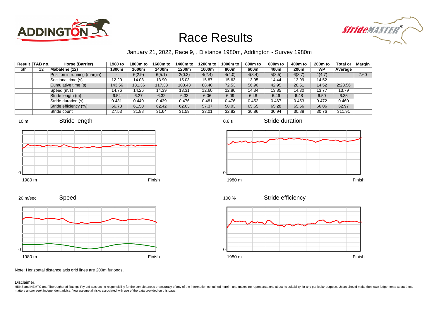



January 21, 2022, Race 9, , Distance 1980m, Addington - Survey 1980m

| Result | TAB no. | Horse (Barrier)              | 1980 to | 1800m to | 1600m to | 1400m to | 1200m to | 1000m to | 800 <sub>m</sub> to | 600m to | 400m to          | 200 <sub>m</sub> to | <b>Total or</b> | Margin |
|--------|---------|------------------------------|---------|----------|----------|----------|----------|----------|---------------------|---------|------------------|---------------------|-----------------|--------|
| 6th    | 12      | Mabalene (12)                | 1800m   | 1600m    | 1400m    | 1200m    | 1000m    | 800m     | 600m                | 400m    | 200 <sub>m</sub> | WP                  | Average         |        |
|        |         | Position in running (margin) |         | 6(2.9)   | 6(5.1)   | 2(0.3)   | 4(2.4)   | 4(4.0)   | 4(3.4)              | 5(3.5)  | 6(3.7)           | 4(4.7)              |                 | 7.60   |
|        |         | Sectional time (s)           | 12.20   | 14.03    | 13.90    | 15.03    | 15.87    | 15.63    | 13.95               | 14.44   | 13.99            | 14.52               |                 |        |
|        |         | Cumulative time (s)          | 143.56  | 131.36   | 117.33   | 103.43   | 88.40    | 72.53    | 56.90               | 42.95   | 28.51            | 14.52               | 2:23.56         |        |
|        |         | Speed (m/s)                  | 14.76   | 14.26    | 14.39    | 13.31    | 12.60    | 12.80    | 14.34               | 13.85   | 14.30            | 13.77               | 13.79           |        |
|        |         | Stride length (m)            | 6.54    | 6.27     | 6.32     | 6.33     | 6.06     | 6.09     | 6.48                | 6.46    | 6.48             | 6.50                | 6.35            |        |
|        |         | Stride duration (s)          | 0.431   | 0.440    | 0.439    | 0.476    | 0.481    | 0.476    | 0.452               | 0.467   | 0.453            | 0.472               | 0.460           |        |
|        |         | Stride efficiency (%)        | 66.78   | 61.50    | 62.42    | 62.63    | 57.37    | 58.03    | 65.65               | 65.28   | 65.56            | 66.06               | 62.97           |        |
|        |         | Stride count                 | 27.53   | 31.88    | 31.64    | 31.59    | 33.01    | 32.82    | 30.86               | 30.94   | 30.88            | 30.76               | 311.91          |        |











0.6 s



Stride duration

Stride efficiency 100 %



Note: Horizontal distance axis grid lines are 200m furlongs.

#### Disclaimer.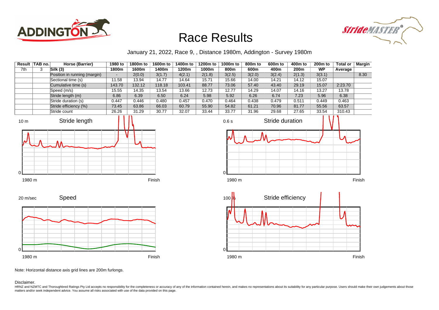



January 21, 2022, Race 9, , Distance 1980m, Addington - Survey 1980m

| Result | <b>TAB no.</b> | Horse (Barrier)              | 1980 to | 1800m to | 1600m to | 1400m to | 1200m to | 1000m to | 800m to | 600 <sub>m</sub> to | 400m to | $200m$ to | <b>Total or</b> | <b>Margin</b> |
|--------|----------------|------------------------------|---------|----------|----------|----------|----------|----------|---------|---------------------|---------|-----------|-----------------|---------------|
| 7th    |                | Silk(3)                      | 1800m   | 1600m    | 1400m    | 1200m    | 1000m    | 800m     | 600m    | 400m                | 200m    | <b>WP</b> | Average         |               |
|        |                | Position in running (margin) | $\sim$  | 2(0.0)   | 3(1.7)   | 4(2.1)   | 2(1.8)   | 3(2.5)   | 3(2.0)  | 3(2.4)              | 2(1.3)  | 3(3.1)    |                 | 8.30          |
|        |                | Sectional time (s)           | 11.58   | 13.94    | 14.77    | 14.64    | 15.71    | 15.66    | 14.00   | 14.21               | 14.12   | 15.07     |                 |               |
|        |                | Cumulative time (s)          | 143.70  | 132.12   | 118.18   | 103.41   | 88.77    | 73.06    | 57.40   | 43.40               | 29.19   | 15.07     | 2:23.70         |               |
|        |                | Speed (m/s)                  | 15.55   | 14.35    | 13.54    | 13.66    | 12.73    | 12.77    | 14.29   | 14.07               | 14.16   | 13.27     | 13.78           |               |
|        |                | Stride length (m)            | 6.86    | 6.39     | 6.50     | 6.24     | 5.98     | 5.92     | 6.26    | 6.74                | 7.23    | 5.96      | 6.38            |               |
|        |                | Stride duration (s)          | 0.447   | 0.446    | 0.480    | 0.457    | 0.470    | 0.464    | 0.438   | 0.479               | 0.511   | 0.449     | 0.463           |               |
|        |                | Stride efficiency (%)        | 73.45   | 63.86    | 66.03    | 60.79    | 55.90    | 54.82    | 61.21   | 70.96               | 81.77   | 55.56     | 63.57           |               |
|        |                | Stride count                 | 26.26   | 31.29    | 30.77    | 32.07    | 33.44    | 33.77    | 31.96   | 29.68               | 27.65   | 33.54     | 310.43          |               |











Note: Horizontal distance axis grid lines are 200m furlongs.

Disclaimer.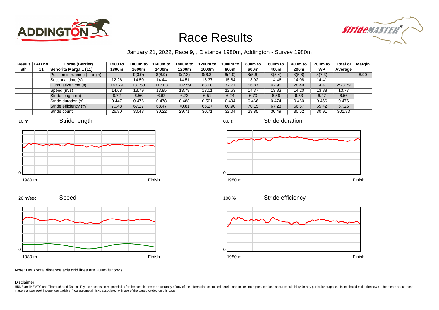



January 21, 2022, Race 9, , Distance 1980m, Addington - Survey 1980m

| Result | TAB no. | Horse (Barrier)              | 1980 to | 1800m to | 1600m to | 1400m to | 1200m to | 1000m to | 800 <sub>m</sub> to | 600m to | 400m to          | 200 <sub>m</sub> to | <b>Total or</b> | Margin |
|--------|---------|------------------------------|---------|----------|----------|----------|----------|----------|---------------------|---------|------------------|---------------------|-----------------|--------|
| 8th    |         | Senorita Marga (11)          | 1800m   | 1600m    | 1400m    | 1200m    | 1000m    | 800m     | 600m                | 400m    | 200 <sub>m</sub> | WP                  | Average         |        |
|        |         | Position in running (margin) |         | 9(3.9)   | 8(8.9)   | 9(7.3)   | 8(6.3)   | 6(4.9)   | 8(5.6)              | 8(5.4)  | 8(5.8)           | 8(7.3)              |                 | 8.90   |
|        |         | Sectional time (s)           | 12.26   | 14.50    | 14.44    | 14.51    | 15.37    | 15.84    | 13.92               | 14.46   | 14.08            | 14.41               |                 |        |
|        |         | Cumulative time (s)          | 143.79  | 131.53   | 117.03   | 102.59   | 88.08    | 72.71    | 56.87               | 42.95   | 28.49            | 14.41               | 2:23.79         |        |
|        |         | Speed (m/s)                  | 14.68   | 13.79    | 13.85    | 13.78    | 13.01    | 12.63    | 14.37               | 13.83   | 14.20            | 13.88               | 13.77           |        |
|        |         | Stride length (m)            | 6.72    | 6.56     | 6.62     | 6.73     | 6.51     | 6.24     | 6.70                | 6.56    | 6.53             | 6.47                | 6.56            |        |
|        |         | Stride duration (s)          | 0.447   | 0.476    | 0.478    | 0.488    | 0.501    | 0.494    | 0.466               | 0.474   | 0.460            | 0.466               | 0.476           |        |
|        |         | Stride efficiency (%)        | 70.48   | 67.27    | 68.47    | 70.81    | 66.27    | 60.90    | 70.15               | 67.23   | 66.67            | 65.42               | 67.25           |        |
|        |         | Stride count                 | 26.80   | 30.48    | 30.22    | 29.71    | 30.71    | 32.04    | 29.85               | 30.49   | 30.62            | 30.91               | 301.83          |        |









1980 m Finish





Stride efficiency



Speed 20 m/sec



Note: Horizontal distance axis grid lines are 200m furlongs.

#### Disclaimer.

HRNZ and NZMTC and Thoroughbred Ratings Pty Ltd accepts no responsibility for the completeness or accuracy of any of the information contained herein, and makes no representations about its suitability for any particular p matters and/or seek independent advice. You assume all risks associated with use of the data provided on this page.

0.6 s

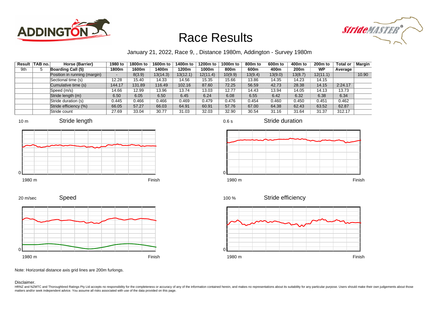



#### January 21, 2022, Race 9, , Distance 1980m, Addington - Survey 1980m

|     | Result   TAB no. | Horse (Barrier)              | 1980 to | 1800m to | 1600m to | 1400m to | 1200m to | 1000m to | 800m to | 600m to | 400m to          | 200 <sub>m</sub> to | <b>Total or</b> | Margin |
|-----|------------------|------------------------------|---------|----------|----------|----------|----------|----------|---------|---------|------------------|---------------------|-----------------|--------|
| 9th |                  | <b>Boarding Call (5)</b>     | 1800m   | 1600m    | 1400m    | 1200m    | 1000m    | 800m     | 600m    | 400m    | 200 <sub>m</sub> | WP                  | Average         |        |
|     |                  | Position in running (margin) |         | 8(3.9)   | 13(14.3) | 13(12.1) | 12(11.4) | 10(9.9)  | 13(9.4) | 13(9.0) | 13(8.7)          | 12(11.1)            |                 | 10.90  |
|     |                  | Sectional time (s)           | 12.28   | 15.40    | 14.33    | 14.56    | 15.35    | 15.66    | 13.86   | 14.35   | 14.23            | 14.15               |                 |        |
|     |                  | Cumulative time (s)          | 144.17  | 131.89   | 116.49   | 102.16   | 87.60    | 72.25    | 56.59   | 42.73   | 28.38            | 14.15               | 2:24.17         |        |
|     |                  | Speed (m/s)                  | 14.66   | 12.99    | 13.96    | 13.74    | 13.03    | 12.77    | 14.43   | 13.94   | 14.05            | 14.13               | 13.73           |        |
|     |                  | Stride length (m)            | 6.50    | 6.05     | 6.50     | 6.45     | 6.24     | 6.08     | 6.55    | 6.42    | 6.32             | 6.38                | 6.34            |        |
|     |                  | Stride duration (s)          | 0.445   | 0.466    | 0.466    | 0.469    | 0.479    | 0.476    | 0.454   | 0.460   | 0.450            | 0.451               | 0.462           |        |
|     |                  | Stride efficiency (%)        | 66.05   | 57.27    | 66.03    | 64.91    | 60.91    | 57.76    | 67.00   | 64.38   | 62.43            | 63.52               | 62.87           |        |
|     |                  | Stride count                 | 27.69   | 33.04    | 30.77    | 31.03    | 32.03    | 32.90    | 30.54   | 31.16   | 31.64            | 31.37               | 312.17          |        |













Stride duration







Note: Horizontal distance axis grid lines are 200m furlongs.

Speed

#### Disclaimer.

20 m/sec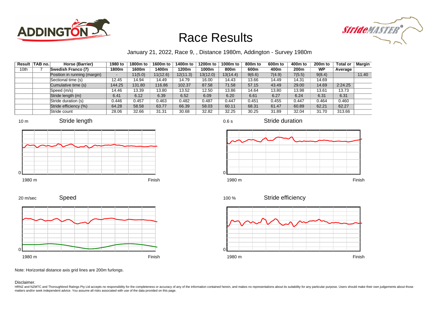



January 21, 2022, Race 9, , Distance 1980m, Addington - Survey 1980m

0.6 s

|      | Result TAB no. | Horse (Barrier)              | 1980 to | 1800m to | 1600m to | 1400m to | 1200m to | 1000m to | 800m to | 600m to | 400m to          | 200 <sub>m</sub> to | <b>Total or</b> | Margin |
|------|----------------|------------------------------|---------|----------|----------|----------|----------|----------|---------|---------|------------------|---------------------|-----------------|--------|
| 10th |                | Swedish Franco (7)           | 1800m   | 1600m    | 1400m    | 1200m    | 1000m    | 800m     | 600m    | 400m    | 200 <sub>m</sub> | WP                  | Average         |        |
|      |                | Position in running (margin) | -       | 11(5.0)  | 11(12.6) | 12(11.3) | 13(12.0) | 13(14.4) | 9(6.6)  | 7(4.9)  | 7(5.5)           | 9(8.4)              |                 | 11.40  |
|      |                | Sectional time (s)           | 12.45   | 14.94    | 14.49    | 14.79    | 16.00    | 14.43    | 13.66   | 14.49   | 14.31            | 14.69               |                 |        |
|      |                | Cumulative time (s)          | 144.25  | 131.80   | 116.86   | 102.37   | 87.58    | 71.58    | 57.15   | 43.49   | 29.00            | 14.69               | 2:24.25         |        |
|      |                | Speed (m/s)                  | 14.46   | 13.39    | 13.80    | 13.52    | 12.50    | 13.86    | 14.64   | 13.80   | 13.98            | 13.61               | 13.73           |        |
|      |                | Stride length (m)            | 6.41    | 6.12     | 6.39     | 6.52     | 6.09     | 6.20     | 6.61    | 6.27    | 6.24             | 6.31                | 6.31            |        |
|      |                | Stride duration (s)          | 0.446   | 0.457    | 0.463    | 0.482    | 0.487    | 0.447    | 0.451   | 0.455   | 0.447            | 0.464               | 0.460           |        |
|      |                | Stride efficiency (%)        | 64.28   | 58.58    | 63.77    | 66.39    | 58.03    | 60.11    | 68.31   | 61.47   | 60.89            | 62.21               | 62.27           |        |
|      |                | Stride count                 | 28.06   | 32.66    | 31.31    | 30.68    | 32.82    | 32.25    | 30.25   | 31.89   | 32.04            | 31.70               | 313.66          |        |







Stride duration











Note: Horizontal distance axis grid lines are 200m furlongs.

#### Disclaimer.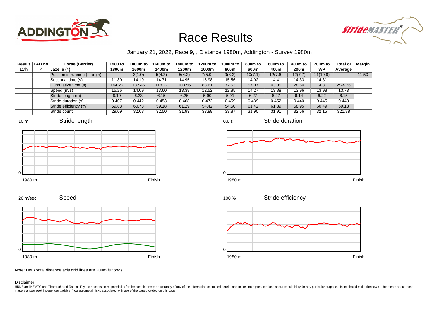



January 21, 2022, Race 9, , Distance 1980m, Addington - Survey 1980m

| Result | TAB no. | Horse (Barrier)              | 1980 to                  | 1800m to | 1600m to | 1400m to | 1200m to | 1000m to | 800 <sub>m</sub> to | 600m to | 400m to          | 200 <sub>m</sub> to | <b>Total or</b> | Margin |
|--------|---------|------------------------------|--------------------------|----------|----------|----------|----------|----------|---------------------|---------|------------------|---------------------|-----------------|--------|
| 11th   | 4       | <b>Jazelle (4)</b>           | 1800m                    | 1600m    | 1400m    | 1200m    | 1000m    | 800m     | 600m                | 400m    | 200 <sub>m</sub> | <b>WP</b>           | Average         |        |
|        |         | Position in running (margin) | $\overline{\phantom{0}}$ | 3(1.0)   | 5(4.2)   | 5(4.2)   | 7(5.9)   | 9(8.2)   | 10(7.1)             | 12(7.6) | 12(7.7)          | 11(10.8)            |                 | 11.50  |
|        |         | Sectional time (s)           | 11.80                    | 14.19    | 14.71    | 14.95    | 15.98    | 15.56    | 14.02               | 14.41   | 14.33            | 14.31               |                 |        |
|        |         | Cumulative time (s)          | 144.26                   | 132.46   | 118.27   | 103.56   | 88.61    | 72.63    | 57.07               | 43.05   | 28.64            | 14.31               | 2:24.26         |        |
|        |         | Speed (m/s)                  | 15.26                    | 14.09    | 13.60    | 13.38    | 12.52    | 12.85    | 14.27               | 13.88   | 13.96            | 13.98               | 13.73           |        |
|        |         | Stride length (m)            | 6.19                     | 6.23     | 6.15     | 6.26     | 5.90     | 5.91     | 6.27                | 6.27    | 6.14             | 6.22                | 6.15            |        |
|        |         | Stride duration (s)          | 0.407                    | 0.442    | 0.453    | 0.468    | 0.472    | 0.459    | 0.439               | 0.452   | 0.440            | 0.445               | 0.448           |        |
|        |         | Stride efficiency (%)        | 59.83                    | 60.73    | 59.18    | 61.29    | 54.42    | 54.50    | 61.42               | 61.39   | 58.95            | 60.49               | 59.13           |        |
|        |         | Stride count                 | 29.09                    | 32.08    | 32.50    | 31.93    | 33.89    | 33.87    | 31.90               | 31.91   | 32.56            | 32.15               | 321.88          |        |









0.6 s

Stride duration



Stride efficiency 100 %



Note: Horizontal distance axis grid lines are 200m furlongs.

#### Disclaimer.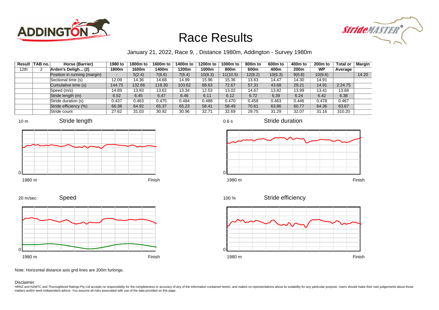



January 21, 2022, Race 9, , Distance 1980m, Addington - Survey 1980m

|      | Result TAB no. | Horse (Barrier)              | 1980 to | 1800m to | 1600m to | 1400m to | 1200m to | 1000m to | 800m to | 600m to | 400m to | 200 <sub>m</sub> to | <b>Total or</b> | Margin |
|------|----------------|------------------------------|---------|----------|----------|----------|----------|----------|---------|---------|---------|---------------------|-----------------|--------|
| 12th |                | Arden's Deligh (2)           | 1800m   | 1600m    | 1400m    | 1200m    | 1000m    | 800m     | 600m    | 400m    | 200m    | WP                  | Average         |        |
|      |                | Position in running (margin) | -       | 5(2.4)   | 7(6.6)   | 7(6.4)   | 10(8.3)  | 11(10.5) | 12(8.2) | 10(6.3) | 9(6.8)  | 10(9.6)             |                 | 14.20  |
|      |                | Sectional time (s)           | 12.09   | 14.36    | 14.68    | 14.99    | 15.96    | 15.36    | 13.63   | 14.47   | 14.30   | 14.91               |                 |        |
|      |                | Cumulative time (s)          | 144.75  | 132.66   | 118.30   | 103.62   | 88.63    | 72.67    | 57.31   | 43.68   | 29.21   | 14.91               | 2:24.75         |        |
|      |                | Speed (m/s)                  | 14.89   | 13.93    | 13.62    | 13.34    | 12.53    | 13.02    | 14.67   | 13.82   | 13.99   | 13.41               | 13.68           |        |
|      |                | Stride length (m)            | 6.52    | 6.45     | 6.47     | 6.46     | 6.11     | 6.12     | 6.72    | 6.39    | 6.24    | 6.42                | 6.38            |        |
|      |                | Stride duration (s)          | 0.437   | 0.463    | 0.475    | 0.484    | 0.488    | 0.470    | 0.458   | 0.463   | 0.446   | 0.478               | 0.467           |        |
|      |                | Stride efficiency (%)        | 66.38   | 64.92    | 65.37    | 65.23    | 58.41    | 58.49    | 70.61   | 63.86   | 60.77   | 64.36               | 63.67           |        |
|      |                | Stride count                 | 27.62   | 31.03    | 30.92    | 30.96    | 32.71    | 32.69    | 29.75   | 31.29   | 32.07   | 31.16               | 310.20          |        |















1980 m Finish





Note: Horizontal distance axis grid lines are 200m furlongs.

Disclaimer.

0

HRNZ and NZMTC and Thoroughbred Ratings Pty Ltd accepts no responsibility for the completeness or accuracy of any of the information contained herein, and makes no representations about its suitability for any particular p matters and/or seek independent advice. You assume all risks associated with use of the data provided on this page.

0.6 s

Stride duration